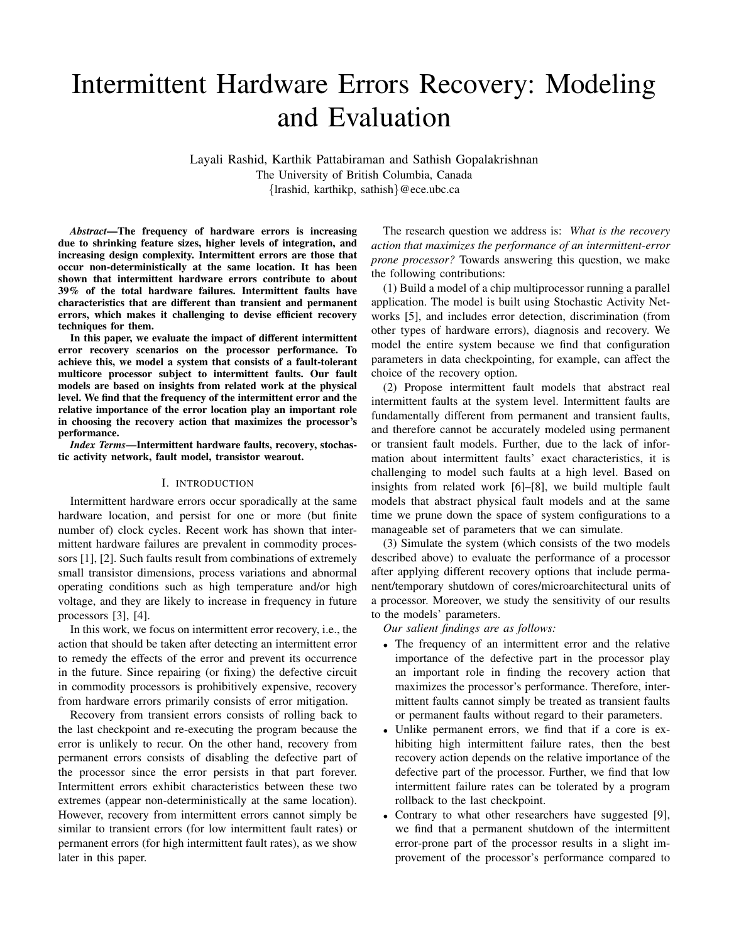# Intermittent Hardware Errors Recovery: Modeling and Evaluation

Layali Rashid, Karthik Pattabiraman and Sathish Gopalakrishnan The University of British Columbia, Canada {lrashid, karthikp, sathish}@ece.ubc.ca

*Abstract*—The frequency of hardware errors is increasing due to shrinking feature sizes, higher levels of integration, and increasing design complexity. Intermittent errors are those that occur non-deterministically at the same location. It has been shown that intermittent hardware errors contribute to about 39% of the total hardware failures. Intermittent faults have characteristics that are different than transient and permanent errors, which makes it challenging to devise efficient recovery techniques for them.

In this paper, we evaluate the impact of different intermittent error recovery scenarios on the processor performance. To achieve this, we model a system that consists of a fault-tolerant multicore processor subject to intermittent faults. Our fault models are based on insights from related work at the physical level. We find that the frequency of the intermittent error and the relative importance of the error location play an important role in choosing the recovery action that maximizes the processor's performance.

*Index Terms*—Intermittent hardware faults, recovery, stochastic activity network, fault model, transistor wearout.

#### I. INTRODUCTION

Intermittent hardware errors occur sporadically at the same hardware location, and persist for one or more (but finite number of) clock cycles. Recent work has shown that intermittent hardware failures are prevalent in commodity processors [1], [2]. Such faults result from combinations of extremely small transistor dimensions, process variations and abnormal operating conditions such as high temperature and/or high voltage, and they are likely to increase in frequency in future processors [3], [4].

In this work, we focus on intermittent error recovery, i.e., the action that should be taken after detecting an intermittent error to remedy the effects of the error and prevent its occurrence in the future. Since repairing (or fixing) the defective circuit in commodity processors is prohibitively expensive, recovery from hardware errors primarily consists of error mitigation.

Recovery from transient errors consists of rolling back to the last checkpoint and re-executing the program because the error is unlikely to recur. On the other hand, recovery from permanent errors consists of disabling the defective part of the processor since the error persists in that part forever. Intermittent errors exhibit characteristics between these two extremes (appear non-deterministically at the same location). However, recovery from intermittent errors cannot simply be similar to transient errors (for low intermittent fault rates) or permanent errors (for high intermittent fault rates), as we show later in this paper.

The research question we address is: *What is the recovery action that maximizes the performance of an intermittent-error prone processor?* Towards answering this question, we make the following contributions:

(1) Build a model of a chip multiprocessor running a parallel application. The model is built using Stochastic Activity Networks [5], and includes error detection, discrimination (from other types of hardware errors), diagnosis and recovery. We model the entire system because we find that configuration parameters in data checkpointing, for example, can affect the choice of the recovery option.

(2) Propose intermittent fault models that abstract real intermittent faults at the system level. Intermittent faults are fundamentally different from permanent and transient faults, and therefore cannot be accurately modeled using permanent or transient fault models. Further, due to the lack of information about intermittent faults' exact characteristics, it is challenging to model such faults at a high level. Based on insights from related work [6]–[8], we build multiple fault models that abstract physical fault models and at the same time we prune down the space of system configurations to a manageable set of parameters that we can simulate.

(3) Simulate the system (which consists of the two models described above) to evaluate the performance of a processor after applying different recovery options that include permanent/temporary shutdown of cores/microarchitectural units of a processor. Moreover, we study the sensitivity of our results to the models' parameters.

*Our salient findings are as follows:*

- The frequency of an intermittent error and the relative importance of the defective part in the processor play an important role in finding the recovery action that maximizes the processor's performance. Therefore, intermittent faults cannot simply be treated as transient faults or permanent faults without regard to their parameters.
- Unlike permanent errors, we find that if a core is exhibiting high intermittent failure rates, then the best recovery action depends on the relative importance of the defective part of the processor. Further, we find that low intermittent failure rates can be tolerated by a program rollback to the last checkpoint.
- Contrary to what other researchers have suggested [9], we find that a permanent shutdown of the intermittent error-prone part of the processor results in a slight improvement of the processor's performance compared to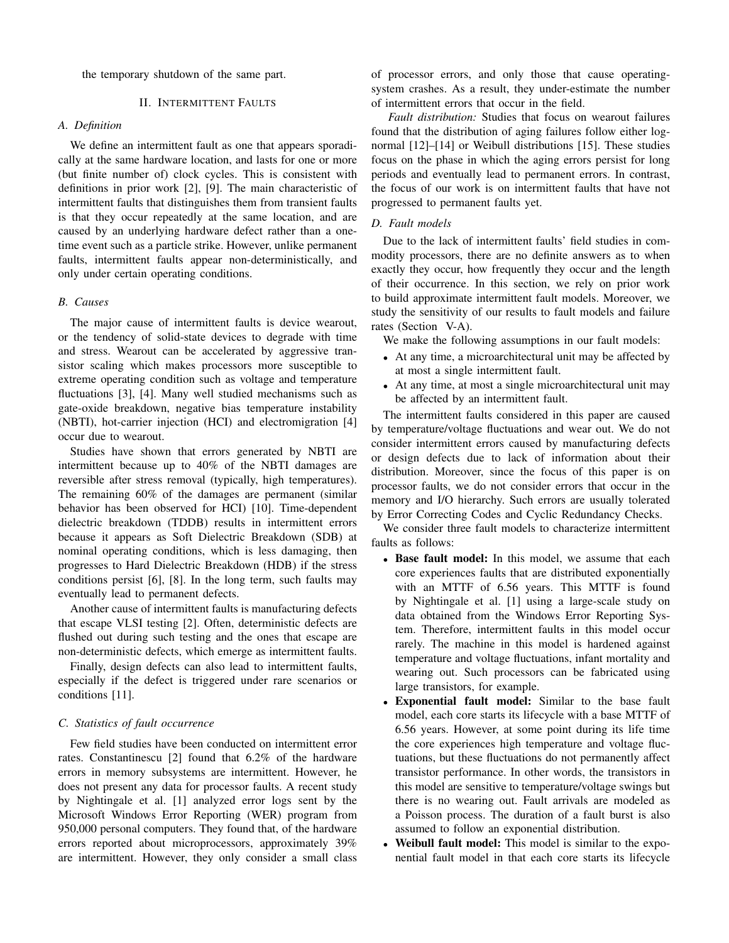the temporary shutdown of the same part.

### II. INTERMITTENT FAULTS

# *A. Definition*

We define an intermittent fault as one that appears sporadically at the same hardware location, and lasts for one or more (but finite number of) clock cycles. This is consistent with definitions in prior work [2], [9]. The main characteristic of intermittent faults that distinguishes them from transient faults is that they occur repeatedly at the same location, and are caused by an underlying hardware defect rather than a onetime event such as a particle strike. However, unlike permanent faults, intermittent faults appear non-deterministically, and only under certain operating conditions.

# *B. Causes*

The major cause of intermittent faults is device wearout, or the tendency of solid-state devices to degrade with time and stress. Wearout can be accelerated by aggressive transistor scaling which makes processors more susceptible to extreme operating condition such as voltage and temperature fluctuations [3], [4]. Many well studied mechanisms such as gate-oxide breakdown, negative bias temperature instability (NBTI), hot-carrier injection (HCI) and electromigration [4] occur due to wearout.

Studies have shown that errors generated by NBTI are intermittent because up to 40% of the NBTI damages are reversible after stress removal (typically, high temperatures). The remaining 60% of the damages are permanent (similar behavior has been observed for HCI) [10]. Time-dependent dielectric breakdown (TDDB) results in intermittent errors because it appears as Soft Dielectric Breakdown (SDB) at nominal operating conditions, which is less damaging, then progresses to Hard Dielectric Breakdown (HDB) if the stress conditions persist [6], [8]. In the long term, such faults may eventually lead to permanent defects.

Another cause of intermittent faults is manufacturing defects that escape VLSI testing [2]. Often, deterministic defects are flushed out during such testing and the ones that escape are non-deterministic defects, which emerge as intermittent faults.

Finally, design defects can also lead to intermittent faults, especially if the defect is triggered under rare scenarios or conditions [11].

## *C. Statistics of fault occurrence*

Few field studies have been conducted on intermittent error rates. Constantinescu [2] found that 6.2% of the hardware errors in memory subsystems are intermittent. However, he does not present any data for processor faults. A recent study by Nightingale et al. [1] analyzed error logs sent by the Microsoft Windows Error Reporting (WER) program from 950,000 personal computers. They found that, of the hardware errors reported about microprocessors, approximately 39% are intermittent. However, they only consider a small class of processor errors, and only those that cause operatingsystem crashes. As a result, they under-estimate the number of intermittent errors that occur in the field.

*Fault distribution:* Studies that focus on wearout failures found that the distribution of aging failures follow either lognormal [12]–[14] or Weibull distributions [15]. These studies focus on the phase in which the aging errors persist for long periods and eventually lead to permanent errors. In contrast, the focus of our work is on intermittent faults that have not progressed to permanent faults yet.

# *D. Fault models*

Due to the lack of intermittent faults' field studies in commodity processors, there are no definite answers as to when exactly they occur, how frequently they occur and the length of their occurrence. In this section, we rely on prior work to build approximate intermittent fault models. Moreover, we study the sensitivity of our results to fault models and failure rates (Section V-A).

We make the following assumptions in our fault models:

- At any time, a microarchitectural unit may be affected by at most a single intermittent fault.
- At any time, at most a single microarchitectural unit may be affected by an intermittent fault.

The intermittent faults considered in this paper are caused by temperature/voltage fluctuations and wear out. We do not consider intermittent errors caused by manufacturing defects or design defects due to lack of information about their distribution. Moreover, since the focus of this paper is on processor faults, we do not consider errors that occur in the memory and I/O hierarchy. Such errors are usually tolerated by Error Correcting Codes and Cyclic Redundancy Checks.

We consider three fault models to characterize intermittent faults as follows:

- Base fault model: In this model, we assume that each core experiences faults that are distributed exponentially with an MTTF of 6.56 years. This MTTF is found by Nightingale et al. [1] using a large-scale study on data obtained from the Windows Error Reporting System. Therefore, intermittent faults in this model occur rarely. The machine in this model is hardened against temperature and voltage fluctuations, infant mortality and wearing out. Such processors can be fabricated using large transistors, for example.
- Exponential fault model: Similar to the base fault model, each core starts its lifecycle with a base MTTF of 6.56 years. However, at some point during its life time the core experiences high temperature and voltage fluctuations, but these fluctuations do not permanently affect transistor performance. In other words, the transistors in this model are sensitive to temperature/voltage swings but there is no wearing out. Fault arrivals are modeled as a Poisson process. The duration of a fault burst is also assumed to follow an exponential distribution.
- Weibull fault model: This model is similar to the exponential fault model in that each core starts its lifecycle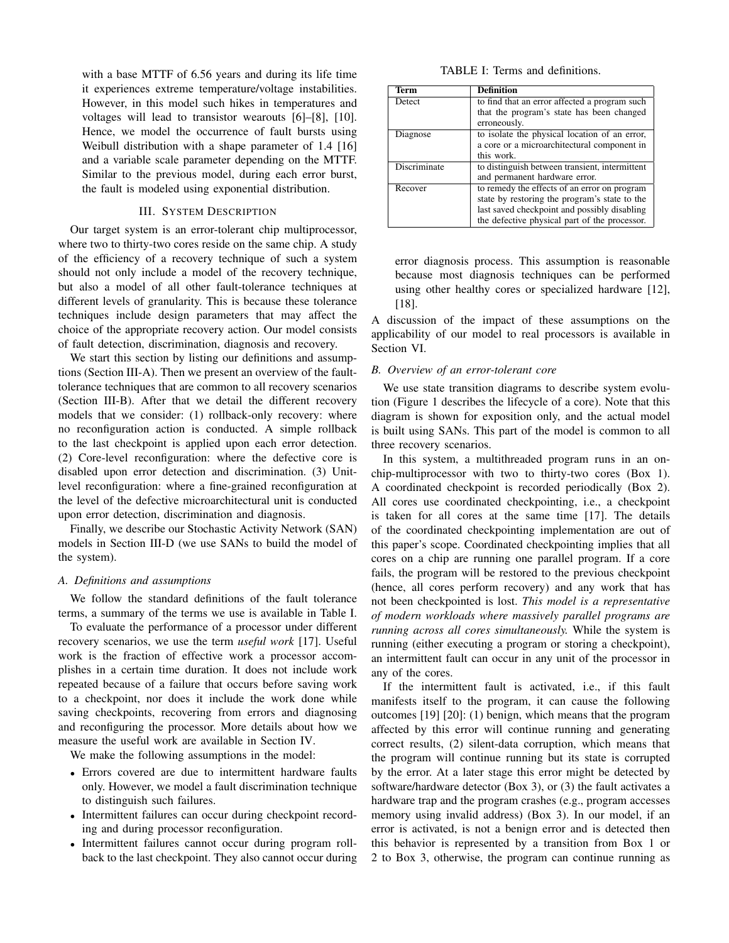with a base MTTF of 6.56 years and during its life time it experiences extreme temperature/voltage instabilities. However, in this model such hikes in temperatures and voltages will lead to transistor wearouts [6]–[8], [10]. Hence, we model the occurrence of fault bursts using Weibull distribution with a shape parameter of 1.4 [16] and a variable scale parameter depending on the MTTF. Similar to the previous model, during each error burst, the fault is modeled using exponential distribution.

# III. SYSTEM DESCRIPTION

Our target system is an error-tolerant chip multiprocessor, where two to thirty-two cores reside on the same chip. A study of the efficiency of a recovery technique of such a system should not only include a model of the recovery technique, but also a model of all other fault-tolerance techniques at different levels of granularity. This is because these tolerance techniques include design parameters that may affect the choice of the appropriate recovery action. Our model consists of fault detection, discrimination, diagnosis and recovery.

We start this section by listing our definitions and assumptions (Section III-A). Then we present an overview of the faulttolerance techniques that are common to all recovery scenarios (Section III-B). After that we detail the different recovery models that we consider: (1) rollback-only recovery: where no reconfiguration action is conducted. A simple rollback to the last checkpoint is applied upon each error detection. (2) Core-level reconfiguration: where the defective core is disabled upon error detection and discrimination. (3) Unitlevel reconfiguration: where a fine-grained reconfiguration at the level of the defective microarchitectural unit is conducted upon error detection, discrimination and diagnosis.

Finally, we describe our Stochastic Activity Network (SAN) models in Section III-D (we use SANs to build the model of the system).

#### *A. Definitions and assumptions*

We follow the standard definitions of the fault tolerance terms, a summary of the terms we use is available in Table I.

To evaluate the performance of a processor under different recovery scenarios, we use the term *useful work* [17]. Useful work is the fraction of effective work a processor accomplishes in a certain time duration. It does not include work repeated because of a failure that occurs before saving work to a checkpoint, nor does it include the work done while saving checkpoints, recovering from errors and diagnosing and reconfiguring the processor. More details about how we measure the useful work are available in Section IV.

We make the following assumptions in the model:

- Errors covered are due to intermittent hardware faults only. However, we model a fault discrimination technique to distinguish such failures.
- Intermittent failures can occur during checkpoint recording and during processor reconfiguration.
- Intermittent failures cannot occur during program rollback to the last checkpoint. They also cannot occur during

TABLE I: Terms and definitions.

| <b>Term</b>   | <b>Definition</b>                                         |  |
|---------------|-----------------------------------------------------------|--|
| <b>Detect</b> | to find that an error affected a program such             |  |
|               | that the program's state has been changed<br>erroneously. |  |
| Diagnose      | to isolate the physical location of an error,             |  |
|               | a core or a microarchitectural component in               |  |
|               | this work.                                                |  |
| Discriminate  | to distinguish between transient, intermittent            |  |
|               | and permanent hardware error.                             |  |
| Recover       | to remedy the effects of an error on program              |  |
|               | state by restoring the program's state to the             |  |
|               | last saved checkpoint and possibly disabling              |  |
|               | the defective physical part of the processor.             |  |

error diagnosis process. This assumption is reasonable because most diagnosis techniques can be performed using other healthy cores or specialized hardware [12], [18].

A discussion of the impact of these assumptions on the applicability of our model to real processors is available in Section VI.

#### *B. Overview of an error-tolerant core*

We use state transition diagrams to describe system evolution (Figure 1 describes the lifecycle of a core). Note that this diagram is shown for exposition only, and the actual model is built using SANs. This part of the model is common to all three recovery scenarios.

In this system, a multithreaded program runs in an onchip-multiprocessor with two to thirty-two cores (Box 1). A coordinated checkpoint is recorded periodically (Box 2). All cores use coordinated checkpointing, i.e., a checkpoint is taken for all cores at the same time [17]. The details of the coordinated checkpointing implementation are out of this paper's scope. Coordinated checkpointing implies that all cores on a chip are running one parallel program. If a core fails, the program will be restored to the previous checkpoint (hence, all cores perform recovery) and any work that has not been checkpointed is lost. *This model is a representative of modern workloads where massively parallel programs are running across all cores simultaneously.* While the system is running (either executing a program or storing a checkpoint), an intermittent fault can occur in any unit of the processor in any of the cores.

If the intermittent fault is activated, i.e., if this fault manifests itself to the program, it can cause the following outcomes [19] [20]: (1) benign, which means that the program affected by this error will continue running and generating correct results, (2) silent-data corruption, which means that the program will continue running but its state is corrupted by the error. At a later stage this error might be detected by software/hardware detector (Box 3), or (3) the fault activates a hardware trap and the program crashes (e.g., program accesses memory using invalid address) (Box 3). In our model, if an error is activated, is not a benign error and is detected then this behavior is represented by a transition from Box 1 or 2 to Box 3, otherwise, the program can continue running as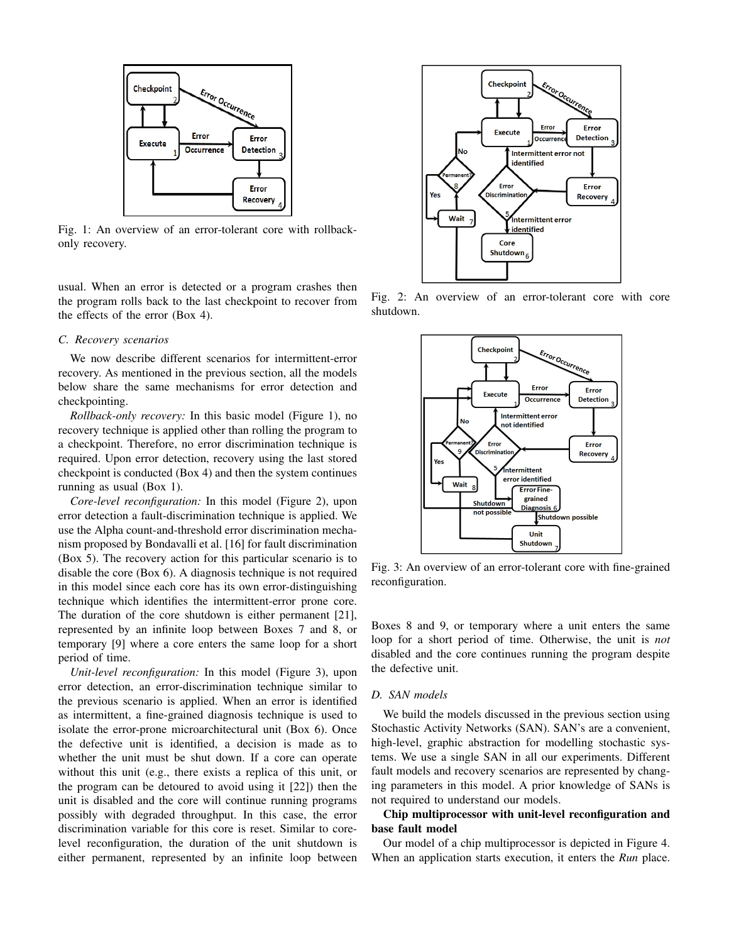

Fig. 1: An overview of an error-tolerant core with rollbackonly recovery.

usual. When an error is detected or a program crashes then the program rolls back to the last checkpoint to recover from the effects of the error (Box 4).

## *C. Recovery scenarios*

We now describe different scenarios for intermittent-error recovery. As mentioned in the previous section, all the models below share the same mechanisms for error detection and checkpointing.

*Rollback-only recovery:* In this basic model (Figure 1), no recovery technique is applied other than rolling the program to a checkpoint. Therefore, no error discrimination technique is required. Upon error detection, recovery using the last stored checkpoint is conducted (Box 4) and then the system continues running as usual (Box 1).

*Core-level reconfiguration:* In this model (Figure 2), upon error detection a fault-discrimination technique is applied. We use the Alpha count-and-threshold error discrimination mechanism proposed by Bondavalli et al. [16] for fault discrimination (Box 5). The recovery action for this particular scenario is to disable the core (Box 6). A diagnosis technique is not required in this model since each core has its own error-distinguishing technique which identifies the intermittent-error prone core. The duration of the core shutdown is either permanent [21], represented by an infinite loop between Boxes 7 and 8, or temporary [9] where a core enters the same loop for a short period of time.

*Unit-level reconfiguration:* In this model (Figure 3), upon error detection, an error-discrimination technique similar to the previous scenario is applied. When an error is identified as intermittent, a fine-grained diagnosis technique is used to isolate the error-prone microarchitectural unit (Box 6). Once the defective unit is identified, a decision is made as to whether the unit must be shut down. If a core can operate without this unit (e.g., there exists a replica of this unit, or the program can be detoured to avoid using it [22]) then the unit is disabled and the core will continue running programs possibly with degraded throughput. In this case, the error discrimination variable for this core is reset. Similar to corelevel reconfiguration, the duration of the unit shutdown is either permanent, represented by an infinite loop between



Fig. 2: An overview of an error-tolerant core with core shutdown.



Fig. 3: An overview of an error-tolerant core with fine-grained reconfiguration.

Boxes 8 and 9, or temporary where a unit enters the same loop for a short period of time. Otherwise, the unit is *not* disabled and the core continues running the program despite the defective unit.

# *D. SAN models*

We build the models discussed in the previous section using Stochastic Activity Networks (SAN). SAN's are a convenient, high-level, graphic abstraction for modelling stochastic systems. We use a single SAN in all our experiments. Different fault models and recovery scenarios are represented by changing parameters in this model. A prior knowledge of SANs is not required to understand our models.

# Chip multiprocessor with unit-level reconfiguration and base fault model

Our model of a chip multiprocessor is depicted in Figure 4. When an application starts execution, it enters the *Run* place.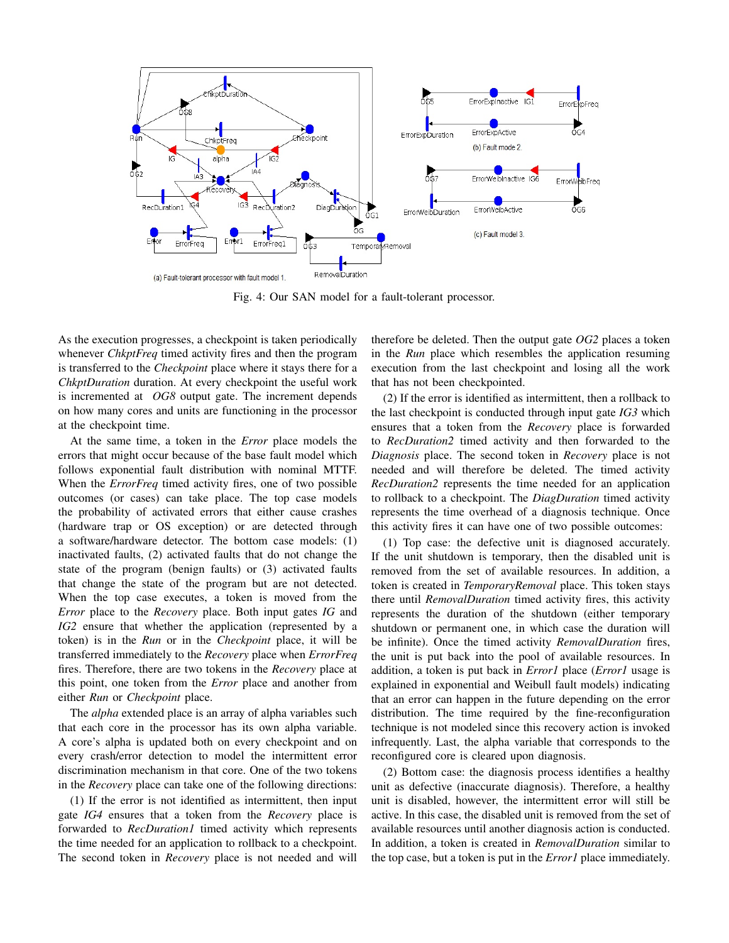

Fig. 4: Our SAN model for a fault-tolerant processor.

As the execution progresses, a checkpoint is taken periodically whenever *ChkptFreq* timed activity fires and then the program is transferred to the *Checkpoint* place where it stays there for a *ChkptDuration* duration. At every checkpoint the useful work is incremented at *OG8* output gate. The increment depends on how many cores and units are functioning in the processor at the checkpoint time.

At the same time, a token in the *Error* place models the errors that might occur because of the base fault model which follows exponential fault distribution with nominal MTTF. When the *ErrorFreq* timed activity fires, one of two possible outcomes (or cases) can take place. The top case models the probability of activated errors that either cause crashes (hardware trap or OS exception) or are detected through a software/hardware detector. The bottom case models: (1) inactivated faults, (2) activated faults that do not change the state of the program (benign faults) or (3) activated faults that change the state of the program but are not detected. When the top case executes, a token is moved from the *Error* place to the *Recovery* place. Both input gates *IG* and *IG2* ensure that whether the application (represented by a token) is in the *Run* or in the *Checkpoint* place, it will be transferred immediately to the *Recovery* place when *ErrorFreq* fires. Therefore, there are two tokens in the *Recovery* place at this point, one token from the *Error* place and another from either *Run* or *Checkpoint* place.

The *alpha* extended place is an array of alpha variables such that each core in the processor has its own alpha variable. A core's alpha is updated both on every checkpoint and on every crash/error detection to model the intermittent error discrimination mechanism in that core. One of the two tokens in the *Recovery* place can take one of the following directions:

(1) If the error is not identified as intermittent, then input gate *IG4* ensures that a token from the *Recovery* place is forwarded to *RecDuration1* timed activity which represents the time needed for an application to rollback to a checkpoint. The second token in *Recovery* place is not needed and will therefore be deleted. Then the output gate *OG2* places a token in the *Run* place which resembles the application resuming execution from the last checkpoint and losing all the work that has not been checkpointed.

(2) If the error is identified as intermittent, then a rollback to the last checkpoint is conducted through input gate *IG3* which ensures that a token from the *Recovery* place is forwarded to *RecDuration2* timed activity and then forwarded to the *Diagnosis* place. The second token in *Recovery* place is not needed and will therefore be deleted. The timed activity *RecDuration2* represents the time needed for an application to rollback to a checkpoint. The *DiagDuration* timed activity represents the time overhead of a diagnosis technique. Once this activity fires it can have one of two possible outcomes:

(1) Top case: the defective unit is diagnosed accurately. If the unit shutdown is temporary, then the disabled unit is removed from the set of available resources. In addition, a token is created in *TemporaryRemoval* place. This token stays there until *RemovalDuration* timed activity fires, this activity represents the duration of the shutdown (either temporary shutdown or permanent one, in which case the duration will be infinite). Once the timed activity *RemovalDuration* fires, the unit is put back into the pool of available resources. In addition, a token is put back in *Error1* place (*Error1* usage is explained in exponential and Weibull fault models) indicating that an error can happen in the future depending on the error distribution. The time required by the fine-reconfiguration technique is not modeled since this recovery action is invoked infrequently. Last, the alpha variable that corresponds to the reconfigured core is cleared upon diagnosis.

(2) Bottom case: the diagnosis process identifies a healthy unit as defective (inaccurate diagnosis). Therefore, a healthy unit is disabled, however, the intermittent error will still be active. In this case, the disabled unit is removed from the set of available resources until another diagnosis action is conducted. In addition, a token is created in *RemovalDuration* similar to the top case, but a token is put in the *Error1* place immediately.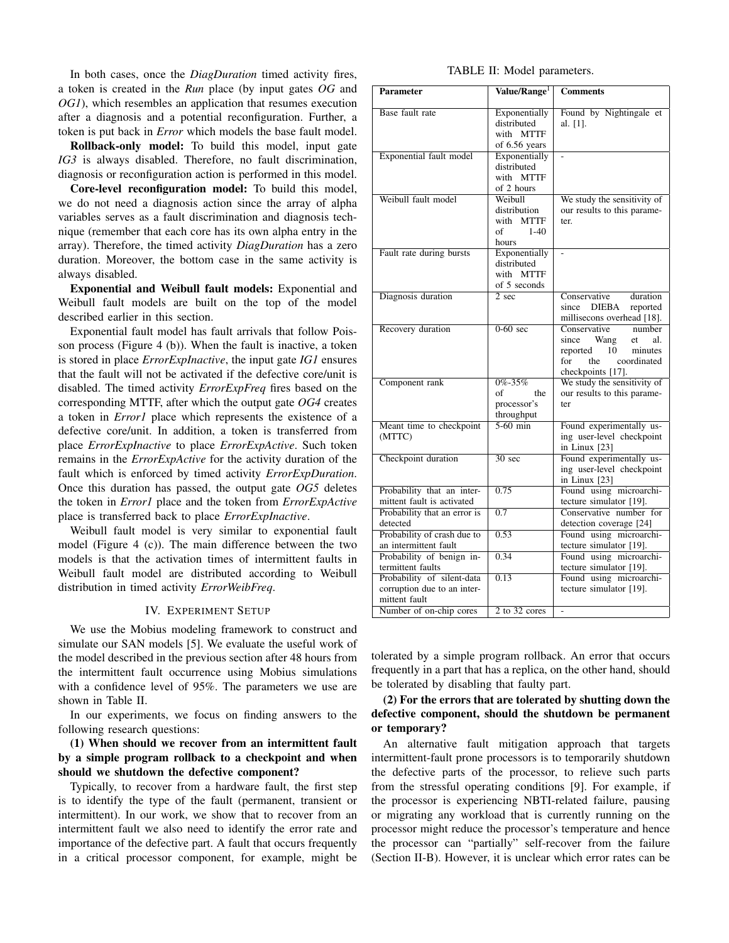In both cases, once the *DiagDuration* timed activity fires, a token is created in the *Run* place (by input gates *OG* and *OG1*), which resembles an application that resumes execution after a diagnosis and a potential reconfiguration. Further, a token is put back in *Error* which models the base fault model.

Rollback-only model: To build this model, input gate *IG3* is always disabled. Therefore, no fault discrimination, diagnosis or reconfiguration action is performed in this model.

Core-level reconfiguration model: To build this model, we do not need a diagnosis action since the array of alpha variables serves as a fault discrimination and diagnosis technique (remember that each core has its own alpha entry in the array). Therefore, the timed activity *DiagDuration* has a zero duration. Moreover, the bottom case in the same activity is always disabled.

Exponential and Weibull fault models: Exponential and Weibull fault models are built on the top of the model described earlier in this section.

Exponential fault model has fault arrivals that follow Poisson process (Figure 4 (b)). When the fault is inactive, a token is stored in place *ErrorExpInactive*, the input gate *IG1* ensures that the fault will not be activated if the defective core/unit is disabled. The timed activity *ErrorExpFreq* fires based on the corresponding MTTF, after which the output gate *OG4* creates a token in *Error1* place which represents the existence of a defective core/unit. In addition, a token is transferred from place *ErrorExpInactive* to place *ErrorExpActive*. Such token remains in the *ErrorExpActive* for the activity duration of the fault which is enforced by timed activity *ErrorExpDuration*. Once this duration has passed, the output gate *OG5* deletes the token in *Error1* place and the token from *ErrorExpActive* place is transferred back to place *ErrorExpInactive*.

Weibull fault model is very similar to exponential fault model (Figure 4 (c)). The main difference between the two models is that the activation times of intermittent faults in Weibull fault model are distributed according to Weibull distribution in timed activity *ErrorWeibFreq*.

## IV. EXPERIMENT SETUP

We use the Mobius modeling framework to construct and simulate our SAN models [5]. We evaluate the useful work of the model described in the previous section after 48 hours from the intermittent fault occurrence using Mobius simulations with a confidence level of 95%. The parameters we use are shown in Table II.

In our experiments, we focus on finding answers to the following research questions:

# (1) When should we recover from an intermittent fault by a simple program rollback to a checkpoint and when should we shutdown the defective component?

Typically, to recover from a hardware fault, the first step is to identify the type of the fault (permanent, transient or intermittent). In our work, we show that to recover from an intermittent fault we also need to identify the error rate and importance of the defective part. A fault that occurs frequently in a critical processor component, for example, might be

## TABLE II: Model parameters.

| <b>Parameter</b>                                                           | Value/Range <sup>1</sup>                                      | <b>Comments</b>                                                                                                                               |
|----------------------------------------------------------------------------|---------------------------------------------------------------|-----------------------------------------------------------------------------------------------------------------------------------------------|
| Base fault rate                                                            | Exponentially<br>distributed<br>with MTTF<br>of 6.56 years    | Found by Nightingale et<br>al. [1].                                                                                                           |
| Exponential fault model                                                    | Exponentially<br>distributed<br>with MTTF<br>of 2 hours       |                                                                                                                                               |
| Weibull fault model                                                        | Weibull<br>distribution<br>with MTTF<br>of<br>$1-40$<br>hours | We study the sensitivity of<br>our results to this parame-<br>ter.                                                                            |
| Fault rate during bursts                                                   | Exponentially<br>distributed<br>with MTTF<br>of 5 seconds     |                                                                                                                                               |
| Diagnosis duration                                                         | $\overline{2}$ sec                                            | Conservative<br>duration<br>DIEBA<br>since<br>reported<br>millisecons overhead [18].                                                          |
| Recovery duration                                                          | $0-60$ sec                                                    | number<br>Conservative<br>since Wang<br>al.<br>et<br>10 <sup>1</sup><br>reported<br>minutes<br>for<br>the<br>coordinated<br>checkpoints [17]. |
| Component rank                                                             | $0\% - 35\%$<br>of<br>the<br>processor's<br>throughput        | We study the sensitivity of<br>our results to this parame-<br>ter                                                                             |
| Meant time to checkpoint<br>(MTTC)                                         | $5-60$ min                                                    | Found experimentally us-<br>ing user-level checkpoint<br>in Linux [23]                                                                        |
| Checkpoint duration                                                        | $30 \text{ sec}$                                              | Found experimentally us-<br>ing user-level checkpoint<br>in Linux $[23]$                                                                      |
| Probability that an inter-<br>mittent fault is activated                   | 0.75                                                          | Found using microarchi-<br>tecture simulator [19].                                                                                            |
| Probability that an error is<br>detected                                   | 0.7                                                           | Conservative number for<br>detection coverage [24]                                                                                            |
| Probability of crash due to<br>an intermittent fault                       | 0.53                                                          | Found using microarchi-<br>tecture simulator [19].                                                                                            |
| Probability of benign in-<br>termittent faults                             | 0.34                                                          | Found using microarchi-<br>tecture simulator [19].                                                                                            |
| Probability of silent-data<br>corruption due to an inter-<br>mittent fault | 0.13                                                          | Found using microarchi-<br>tecture simulator [19].                                                                                            |
| Number of on-chip cores                                                    | 2 to 32 cores                                                 | $\overline{a}$                                                                                                                                |

tolerated by a simple program rollback. An error that occurs frequently in a part that has a replica, on the other hand, should be tolerated by disabling that faulty part.

# (2) For the errors that are tolerated by shutting down the defective component, should the shutdown be permanent or temporary?

An alternative fault mitigation approach that targets intermittent-fault prone processors is to temporarily shutdown the defective parts of the processor, to relieve such parts from the stressful operating conditions [9]. For example, if the processor is experiencing NBTI-related failure, pausing or migrating any workload that is currently running on the processor might reduce the processor's temperature and hence the processor can "partially" self-recover from the failure (Section II-B). However, it is unclear which error rates can be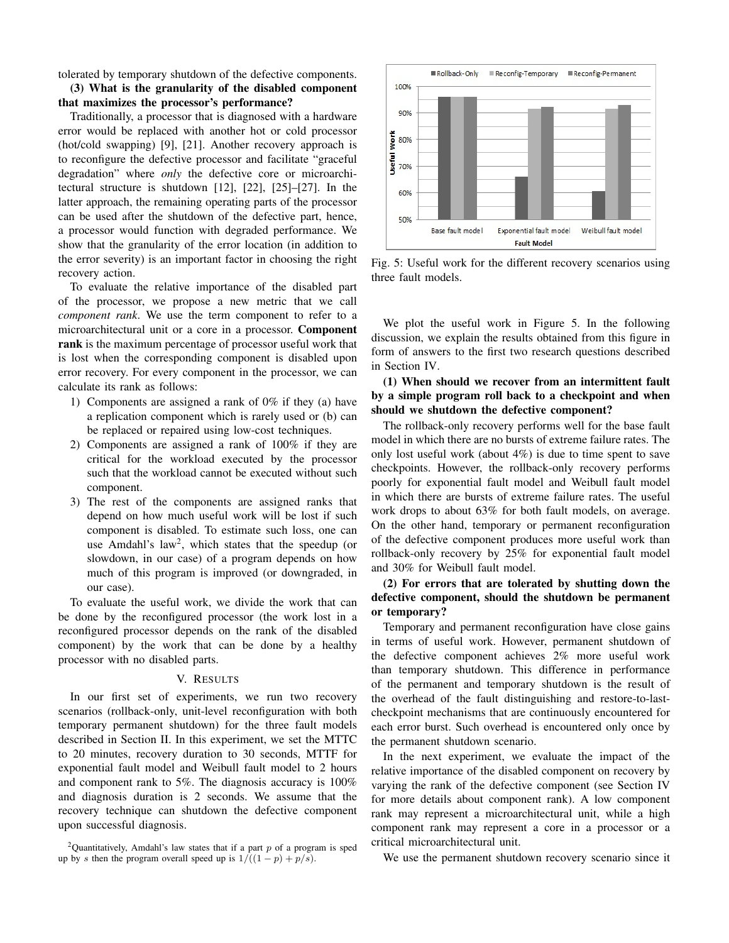tolerated by temporary shutdown of the defective components.

(3) What is the granularity of the disabled component that maximizes the processor's performance?

Traditionally, a processor that is diagnosed with a hardware error would be replaced with another hot or cold processor (hot/cold swapping) [9], [21]. Another recovery approach is to reconfigure the defective processor and facilitate "graceful degradation" where *only* the defective core or microarchitectural structure is shutdown [12], [22], [25]–[27]. In the latter approach, the remaining operating parts of the processor can be used after the shutdown of the defective part, hence, a processor would function with degraded performance. We show that the granularity of the error location (in addition to the error severity) is an important factor in choosing the right recovery action.

To evaluate the relative importance of the disabled part of the processor, we propose a new metric that we call *component rank*. We use the term component to refer to a microarchitectural unit or a core in a processor. Component rank is the maximum percentage of processor useful work that is lost when the corresponding component is disabled upon error recovery. For every component in the processor, we can calculate its rank as follows:

- 1) Components are assigned a rank of 0% if they (a) have a replication component which is rarely used or (b) can be replaced or repaired using low-cost techniques.
- 2) Components are assigned a rank of 100% if they are critical for the workload executed by the processor such that the workload cannot be executed without such component.
- 3) The rest of the components are assigned ranks that depend on how much useful work will be lost if such component is disabled. To estimate such loss, one can use Amdahl's law<sup>2</sup>, which states that the speedup (or slowdown, in our case) of a program depends on how much of this program is improved (or downgraded, in our case).

To evaluate the useful work, we divide the work that can be done by the reconfigured processor (the work lost in a reconfigured processor depends on the rank of the disabled component) by the work that can be done by a healthy processor with no disabled parts.

# V. RESULTS

In our first set of experiments, we run two recovery scenarios (rollback-only, unit-level reconfiguration with both temporary permanent shutdown) for the three fault models described in Section II. In this experiment, we set the MTTC to 20 minutes, recovery duration to 30 seconds, MTTF for exponential fault model and Weibull fault model to 2 hours and component rank to 5%. The diagnosis accuracy is 100% and diagnosis duration is 2 seconds. We assume that the recovery technique can shutdown the defective component upon successful diagnosis.



Fig. 5: Useful work for the different recovery scenarios using three fault models.

We plot the useful work in Figure 5. In the following discussion, we explain the results obtained from this figure in form of answers to the first two research questions described in Section IV.

# (1) When should we recover from an intermittent fault by a simple program roll back to a checkpoint and when should we shutdown the defective component?

The rollback-only recovery performs well for the base fault model in which there are no bursts of extreme failure rates. The only lost useful work (about 4%) is due to time spent to save checkpoints. However, the rollback-only recovery performs poorly for exponential fault model and Weibull fault model in which there are bursts of extreme failure rates. The useful work drops to about 63% for both fault models, on average. On the other hand, temporary or permanent reconfiguration of the defective component produces more useful work than rollback-only recovery by 25% for exponential fault model and 30% for Weibull fault model.

# (2) For errors that are tolerated by shutting down the defective component, should the shutdown be permanent or temporary?

Temporary and permanent reconfiguration have close gains in terms of useful work. However, permanent shutdown of the defective component achieves 2% more useful work than temporary shutdown. This difference in performance of the permanent and temporary shutdown is the result of the overhead of the fault distinguishing and restore-to-lastcheckpoint mechanisms that are continuously encountered for each error burst. Such overhead is encountered only once by the permanent shutdown scenario.

In the next experiment, we evaluate the impact of the relative importance of the disabled component on recovery by varying the rank of the defective component (see Section IV for more details about component rank). A low component rank may represent a microarchitectural unit, while a high component rank may represent a core in a processor or a critical microarchitectural unit.

We use the permanent shutdown recovery scenario since it

<sup>&</sup>lt;sup>2</sup>Quantitatively, Amdahl's law states that if a part  $p$  of a program is sped up by s then the program overall speed up is  $1/((1-p) + p/s)$ .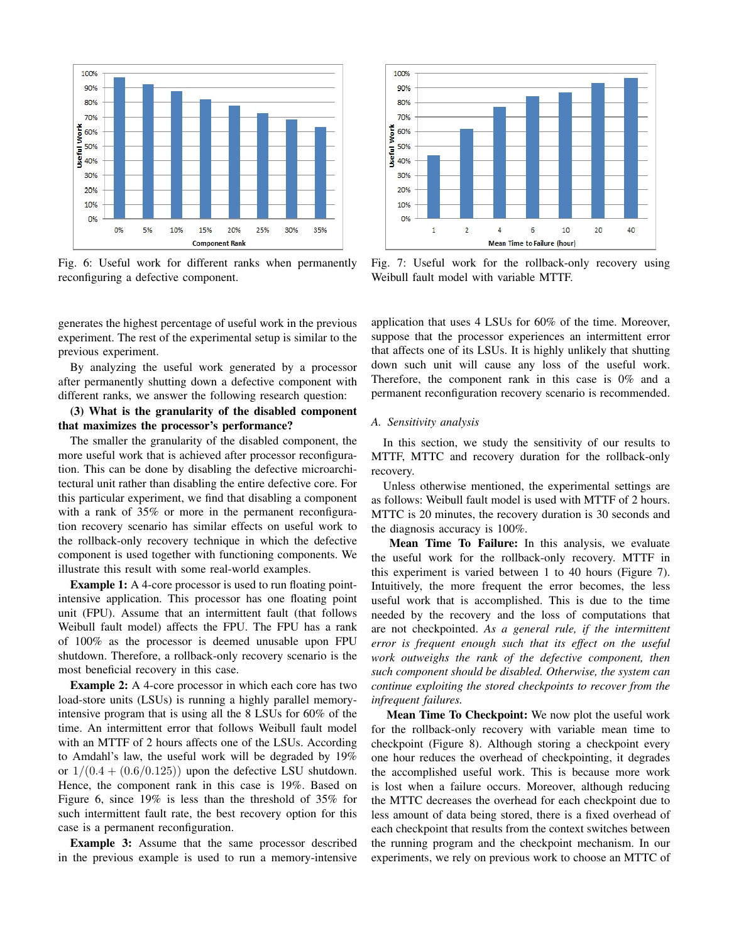

Fig. 6: Useful work for different ranks when permanently reconfiguring a defective component.

generates the highest percentage of useful work in the previous experiment. The rest of the experimental setup is similar to the previous experiment.

By analyzing the useful work generated by a processor after permanently shutting down a defective component with different ranks, we answer the following research question:

# (3) What is the granularity of the disabled component that maximizes the processor's performance?

The smaller the granularity of the disabled component, the more useful work that is achieved after processor reconfiguration. This can be done by disabling the defective microarchitectural unit rather than disabling the entire defective core. For this particular experiment, we find that disabling a component with a rank of 35% or more in the permanent reconfiguration recovery scenario has similar effects on useful work to the rollback-only recovery technique in which the defective component is used together with functioning components. We illustrate this result with some real-world examples.

**Example 1:** A 4-core processor is used to run floating pointintensive application. This processor has one floating point unit (FPU). Assume that an intermittent fault (that follows Weibull fault model) affects the FPU. The FPU has a rank of 100% as the processor is deemed unusable upon FPU shutdown. Therefore, a rollback-only recovery scenario is the most beneficial recovery in this case.

Example 2: A 4-core processor in which each core has two load-store units (LSUs) is running a highly parallel memoryintensive program that is using all the 8 LSUs for 60% of the time. An intermittent error that follows Weibull fault model with an MTTF of 2 hours affects one of the LSUs. According to Amdahl's law, the useful work will be degraded by 19% or  $1/(0.4 + (0.6/0.125))$  upon the defective LSU shutdown. Hence, the component rank in this case is 19%. Based on Figure 6, since 19% is less than the threshold of 35% for such intermittent fault rate, the best recovery option for this case is a permanent reconfiguration.

Example 3: Assume that the same processor described in the previous example is used to run a memory-intensive



Fig. 7: Useful work for the rollback-only recovery using Weibull fault model with variable MTTF.

application that uses 4 LSUs for 60% of the time. Moreover, suppose that the processor experiences an intermittent error that affects one of its LSUs. It is highly unlikely that shutting down such unit will cause any loss of the useful work. Therefore, the component rank in this case is 0% and a permanent reconfiguration recovery scenario is recommended.

# *A. Sensitivity analysis*

In this section, we study the sensitivity of our results to MTTF, MTTC and recovery duration for the rollback-only recovery.

Unless otherwise mentioned, the experimental settings are as follows: Weibull fault model is used with MTTF of 2 hours. MTTC is 20 minutes, the recovery duration is 30 seconds and the diagnosis accuracy is 100%.

Mean Time To Failure: In this analysis, we evaluate the useful work for the rollback-only recovery. MTTF in this experiment is varied between 1 to 40 hours (Figure 7). Intuitively, the more frequent the error becomes, the less useful work that is accomplished. This is due to the time needed by the recovery and the loss of computations that are not checkpointed. *As a general rule, if the intermittent error is frequent enough such that its effect on the useful work outweighs the rank of the defective component, then such component should be disabled. Otherwise, the system can continue exploiting the stored checkpoints to recover from the infrequent failures.*

Mean Time To Checkpoint: We now plot the useful work for the rollback-only recovery with variable mean time to checkpoint (Figure 8). Although storing a checkpoint every one hour reduces the overhead of checkpointing, it degrades the accomplished useful work. This is because more work is lost when a failure occurs. Moreover, although reducing the MTTC decreases the overhead for each checkpoint due to less amount of data being stored, there is a fixed overhead of each checkpoint that results from the context switches between the running program and the checkpoint mechanism. In our experiments, we rely on previous work to choose an MTTC of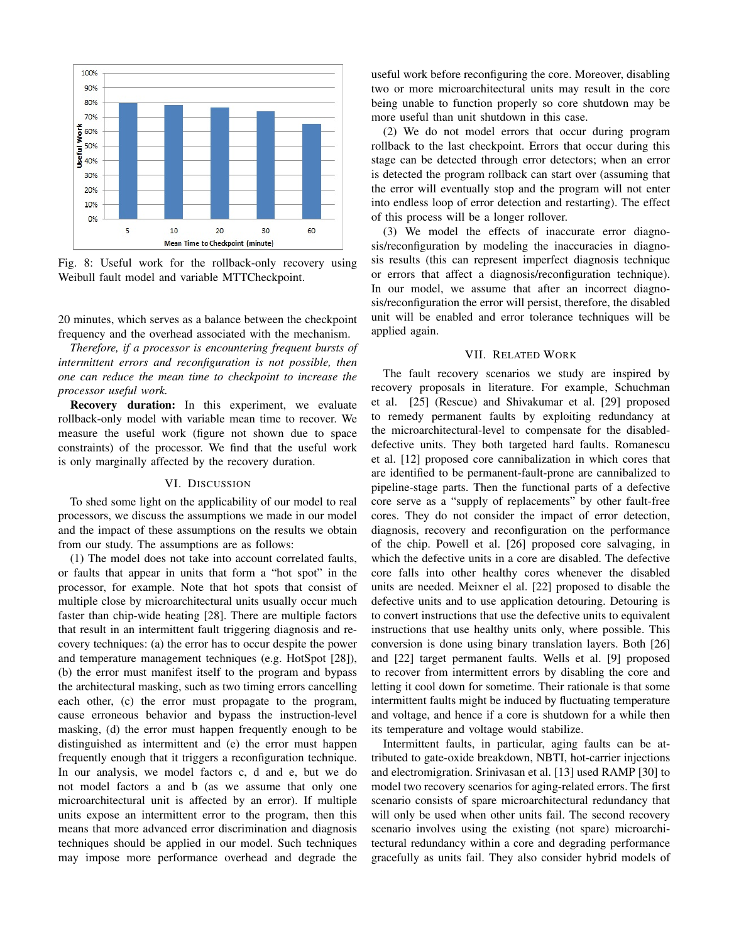

Fig. 8: Useful work for the rollback-only recovery using Weibull fault model and variable MTTCheckpoint.

20 minutes, which serves as a balance between the checkpoint frequency and the overhead associated with the mechanism.

*Therefore, if a processor is encountering frequent bursts of intermittent errors and reconfiguration is not possible, then one can reduce the mean time to checkpoint to increase the processor useful work.*

Recovery duration: In this experiment, we evaluate rollback-only model with variable mean time to recover. We measure the useful work (figure not shown due to space constraints) of the processor. We find that the useful work is only marginally affected by the recovery duration.

## VI. DISCUSSION

To shed some light on the applicability of our model to real processors, we discuss the assumptions we made in our model and the impact of these assumptions on the results we obtain from our study. The assumptions are as follows:

(1) The model does not take into account correlated faults, or faults that appear in units that form a "hot spot" in the processor, for example. Note that hot spots that consist of multiple close by microarchitectural units usually occur much faster than chip-wide heating [28]. There are multiple factors that result in an intermittent fault triggering diagnosis and recovery techniques: (a) the error has to occur despite the power and temperature management techniques (e.g. HotSpot [28]), (b) the error must manifest itself to the program and bypass the architectural masking, such as two timing errors cancelling each other, (c) the error must propagate to the program, cause erroneous behavior and bypass the instruction-level masking, (d) the error must happen frequently enough to be distinguished as intermittent and (e) the error must happen frequently enough that it triggers a reconfiguration technique. In our analysis, we model factors c, d and e, but we do not model factors a and b (as we assume that only one microarchitectural unit is affected by an error). If multiple units expose an intermittent error to the program, then this means that more advanced error discrimination and diagnosis techniques should be applied in our model. Such techniques may impose more performance overhead and degrade the useful work before reconfiguring the core. Moreover, disabling two or more microarchitectural units may result in the core being unable to function properly so core shutdown may be more useful than unit shutdown in this case.

(2) We do not model errors that occur during program rollback to the last checkpoint. Errors that occur during this stage can be detected through error detectors; when an error is detected the program rollback can start over (assuming that the error will eventually stop and the program will not enter into endless loop of error detection and restarting). The effect of this process will be a longer rollover.

(3) We model the effects of inaccurate error diagnosis/reconfiguration by modeling the inaccuracies in diagnosis results (this can represent imperfect diagnosis technique or errors that affect a diagnosis/reconfiguration technique). In our model, we assume that after an incorrect diagnosis/reconfiguration the error will persist, therefore, the disabled unit will be enabled and error tolerance techniques will be applied again.

## VII. RELATED WORK

The fault recovery scenarios we study are inspired by recovery proposals in literature. For example, Schuchman et al. [25] (Rescue) and Shivakumar et al. [29] proposed to remedy permanent faults by exploiting redundancy at the microarchitectural-level to compensate for the disableddefective units. They both targeted hard faults. Romanescu et al. [12] proposed core cannibalization in which cores that are identified to be permanent-fault-prone are cannibalized to pipeline-stage parts. Then the functional parts of a defective core serve as a "supply of replacements" by other fault-free cores. They do not consider the impact of error detection, diagnosis, recovery and reconfiguration on the performance of the chip. Powell et al. [26] proposed core salvaging, in which the defective units in a core are disabled. The defective core falls into other healthy cores whenever the disabled units are needed. Meixner el al. [22] proposed to disable the defective units and to use application detouring. Detouring is to convert instructions that use the defective units to equivalent instructions that use healthy units only, where possible. This conversion is done using binary translation layers. Both [26] and [22] target permanent faults. Wells et al. [9] proposed to recover from intermittent errors by disabling the core and letting it cool down for sometime. Their rationale is that some intermittent faults might be induced by fluctuating temperature and voltage, and hence if a core is shutdown for a while then its temperature and voltage would stabilize.

Intermittent faults, in particular, aging faults can be attributed to gate-oxide breakdown, NBTI, hot-carrier injections and electromigration. Srinivasan et al. [13] used RAMP [30] to model two recovery scenarios for aging-related errors. The first scenario consists of spare microarchitectural redundancy that will only be used when other units fail. The second recovery scenario involves using the existing (not spare) microarchitectural redundancy within a core and degrading performance gracefully as units fail. They also consider hybrid models of